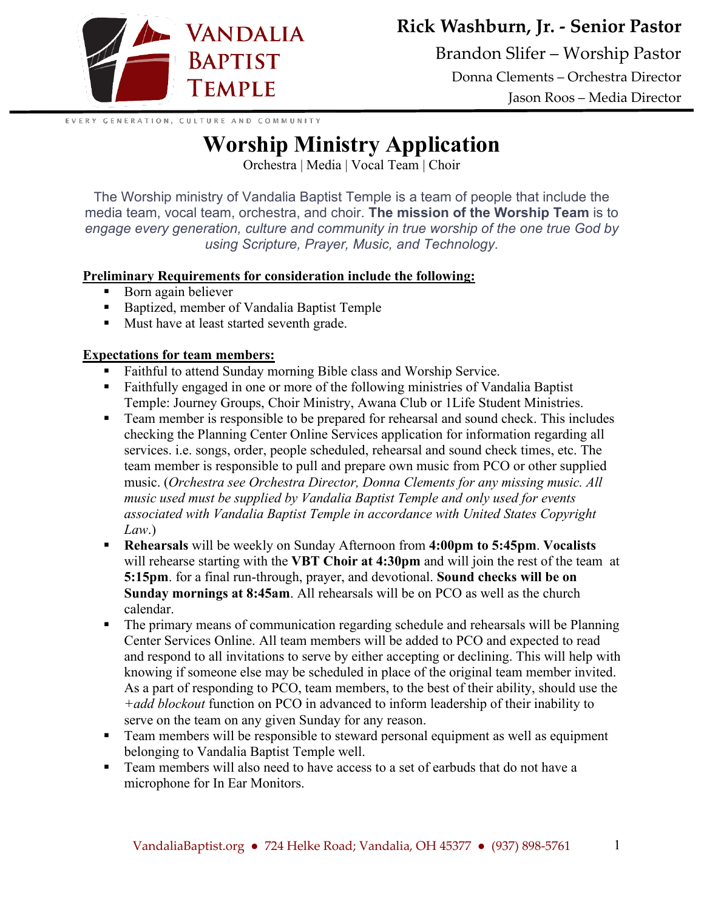

**Rick Washburn, Jr. - Senior Pastor**

Brandon Slifer – Worship Pastor Donna Clements – Orchestra Director Jason Roos – Media Director

EVERY GENERATION, CULTURE AND COMMUNITY

## **Worship Ministry Application**

Orchestra | Media | Vocal Team | Choir

The Worship ministry of Vandalia Baptist Temple is a team of people that include the media team, vocal team, orchestra, and choir. **The mission of the Worship Team** is to *engage every generation, culture and community in true worship of the one true God by using Scripture, Prayer, Music, and Technology.* 

## **Preliminary Requirements for consideration include the following:**

- Born again believer
- Baptized, member of Vandalia Baptist Temple
- Must have at least started seventh grade.

## **Expectations for team members:**

- Faithful to attend Sunday morning Bible class and Worship Service.
- Faithfully engaged in one or more of the following ministries of Vandalia Baptist Temple: Journey Groups, Choir Ministry, Awana Club or 1Life Student Ministries.
- Team member is responsible to be prepared for rehearsal and sound check. This includes checking the Planning Center Online Services application for information regarding all services. i.e. songs, order, people scheduled, rehearsal and sound check times, etc. The team member is responsible to pull and prepare own music from PCO or other supplied music. (*Orchestra see Orchestra Director, Donna Clements for any missing music. All music used must be supplied by Vandalia Baptist Temple and only used for events associated with Vandalia Baptist Temple in accordance with United States Copyright Law*.)
- **Rehearsals** will be weekly on Sunday Afternoon from **4:00pm to 5:45pm**. **Vocalists** will rehearse starting with the **VBT Choir at 4:30pm** and will join the rest of the team at **5:15pm**. for a final run-through, prayer, and devotional. **Sound checks will be on Sunday mornings at 8:45am**. All rehearsals will be on PCO as well as the church calendar.
- The primary means of communication regarding schedule and rehearsals will be Planning Center Services Online. All team members will be added to PCO and expected to read and respond to all invitations to serve by either accepting or declining. This will help with knowing if someone else may be scheduled in place of the original team member invited. As a part of responding to PCO, team members, to the best of their ability, should use the *+add blockout* function on PCO in advanced to inform leadership of their inability to serve on the team on any given Sunday for any reason.
- Team members will be responsible to steward personal equipment as well as equipment belonging to Vandalia Baptist Temple well.
- **Team members will also need to have access to a set of earbuds that do not have a** microphone for In Ear Monitors.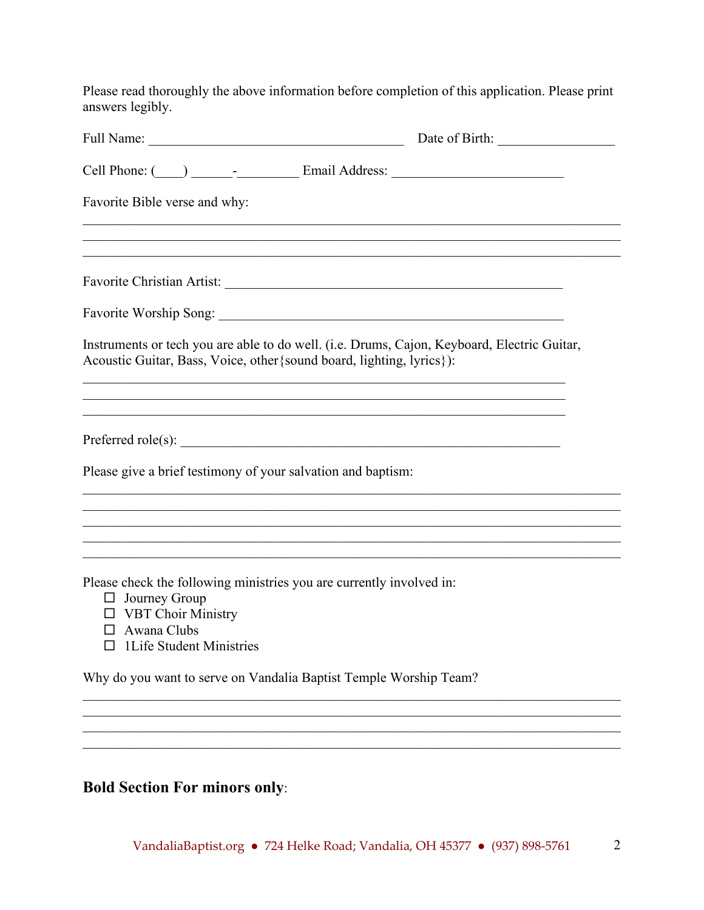Please read thoroughly the above information before completion of this application. Please print answers legibly.

|                                                                                                                                                                                     | Date of Birth:                                                                    |
|-------------------------------------------------------------------------------------------------------------------------------------------------------------------------------------|-----------------------------------------------------------------------------------|
|                                                                                                                                                                                     |                                                                                   |
| Favorite Bible verse and why:                                                                                                                                                       |                                                                                   |
|                                                                                                                                                                                     |                                                                                   |
|                                                                                                                                                                                     |                                                                                   |
|                                                                                                                                                                                     |                                                                                   |
| Instruments or tech you are able to do well. (i.e. Drums, Cajon, Keyboard, Electric Guitar,<br>Acoustic Guitar, Bass, Voice, other {sound board, lighting, lyrics}):                |                                                                                   |
|                                                                                                                                                                                     |                                                                                   |
| Please give a brief testimony of your salvation and baptism:                                                                                                                        |                                                                                   |
|                                                                                                                                                                                     |                                                                                   |
| Please check the following ministries you are currently involved in:<br>$\Box$ Journey Group<br>$\Box$ VBT Choir Ministry<br>$\Box$ Awana Clubs<br>$\Box$ 1 Life Student Ministries | ,我们也不能在这里的时候,我们也不能在这里的时候,我们也不能会在这里的时候,我们也不能会在这里的时候,我们也不能会在这里的时候,我们也不能会在这里的时候,我们也不 |
| Why do you want to serve on Vandalia Baptist Temple Worship Team?                                                                                                                   |                                                                                   |
|                                                                                                                                                                                     |                                                                                   |

## **Bold Section For minors only**:

\_\_\_\_\_\_\_\_\_\_\_\_\_\_\_\_\_\_\_\_\_\_\_\_\_\_\_\_\_\_\_\_\_\_\_\_\_\_\_\_\_\_\_\_\_\_\_\_\_\_\_\_\_\_\_\_\_\_\_\_\_\_\_\_\_\_\_\_\_\_\_\_\_\_\_\_\_\_  $\mathcal{L}_\mathcal{L} = \mathcal{L}_\mathcal{L} = \mathcal{L}_\mathcal{L} = \mathcal{L}_\mathcal{L} = \mathcal{L}_\mathcal{L} = \mathcal{L}_\mathcal{L} = \mathcal{L}_\mathcal{L} = \mathcal{L}_\mathcal{L} = \mathcal{L}_\mathcal{L} = \mathcal{L}_\mathcal{L} = \mathcal{L}_\mathcal{L} = \mathcal{L}_\mathcal{L} = \mathcal{L}_\mathcal{L} = \mathcal{L}_\mathcal{L} = \mathcal{L}_\mathcal{L} = \mathcal{L}_\mathcal{L} = \mathcal{L}_\mathcal{L}$